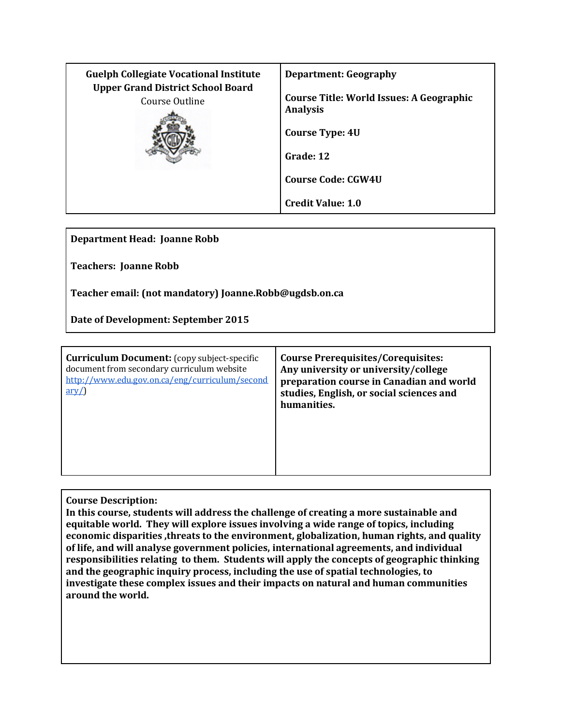| <b>Guelph Collegiate Vocational Institute</b>              | <b>Department: Geography</b>                                       |
|------------------------------------------------------------|--------------------------------------------------------------------|
| <b>Upper Grand District School Board</b><br>Course Outline | <b>Course Title: World Issues: A Geographic</b><br><b>Analysis</b> |
|                                                            | <b>Course Type: 4U</b>                                             |
|                                                            | Grade: 12                                                          |
|                                                            | <b>Course Code: CGW4U</b>                                          |
|                                                            | <b>Credit Value: 1.0</b>                                           |

**Department Head: Joanne Robb**

**Teachers: Joanne Robb**

**Teacher email: (not mandatory) Joanne.Robb@ugdsb.on.ca**

**Date of Development: September 2015**

| <b>Curriculum Document:</b> (copy subject-specific<br>document from secondary curriculum website<br>http://www.edu.gov.on.ca/eng/curriculum/second<br>$\frac{\text{arv}}{\text{}}$ | <b>Course Prerequisites/Corequisites:</b><br>Any university or university/college<br>preparation course in Canadian and world<br>studies, English, or social sciences and<br>humanities. |
|------------------------------------------------------------------------------------------------------------------------------------------------------------------------------------|------------------------------------------------------------------------------------------------------------------------------------------------------------------------------------------|
|------------------------------------------------------------------------------------------------------------------------------------------------------------------------------------|------------------------------------------------------------------------------------------------------------------------------------------------------------------------------------------|

**Course Description:**

**In this course, students will address the challenge of creating a more sustainable and equitable world. They will explore issues involving a wide range of topics, including economic disparities ,threats to the environment, globalization, human rights, and quality of life, and will analyse government policies, international agreements, and individual responsibilities relating to them. Students will apply the concepts of geographic thinking and the geographic inquiry process, including the use of spatial technologies, to investigate these complex issues and their impacts on natural and human communities around the world.**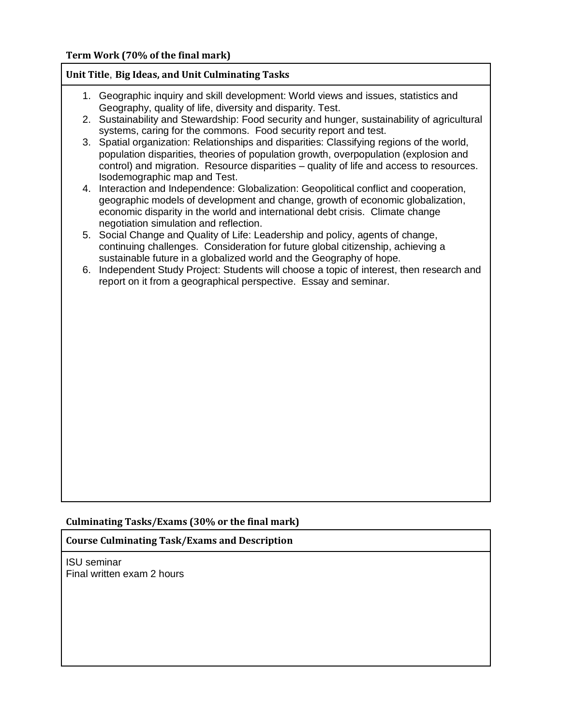### **Unit Title**, **Big Ideas, and Unit Culminating Tasks**

- 1. Geographic inquiry and skill development: World views and issues, statistics and Geography, quality of life, diversity and disparity. Test.
- 2. Sustainability and Stewardship: Food security and hunger, sustainability of agricultural systems, caring for the commons. Food security report and test.
- 3. Spatial organization: Relationships and disparities: Classifying regions of the world, population disparities, theories of population growth, overpopulation (explosion and control) and migration. Resource disparities – quality of life and access to resources. Isodemographic map and Test.
- 4. Interaction and Independence: Globalization: Geopolitical conflict and cooperation, geographic models of development and change, growth of economic globalization, economic disparity in the world and international debt crisis. Climate change negotiation simulation and reflection.
- 5. Social Change and Quality of Life: Leadership and policy, agents of change, continuing challenges. Consideration for future global citizenship, achieving a sustainable future in a globalized world and the Geography of hope.
- 6. Independent Study Project: Students will choose a topic of interest, then research and report on it from a geographical perspective. Essay and seminar.

#### **Culminating Tasks/Exams (30% or the final mark)**

#### **Course Culminating Task/Exams and Description**

ISU seminar Final written exam 2 hours